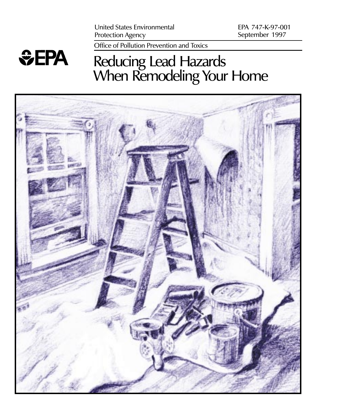Office of Pollution Prevention and Toxics

## *<u>GEPA</u>*

## Reducing Lead Hazards When Remodeling Your Home

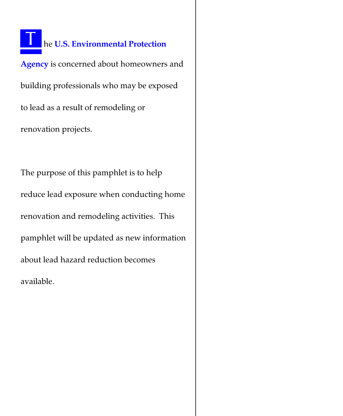#### he U.S. Environmental Protection

Agency is concerned about homeowners and building professionals who may be exposed to lead as a result of remodeling or renovation projects.

The purpose of this pamphlet is to help reduce lead exposure when conducting home renovation and remodeling activities. This pamphlet will be updated as new information about lead hazard reduction becomes available.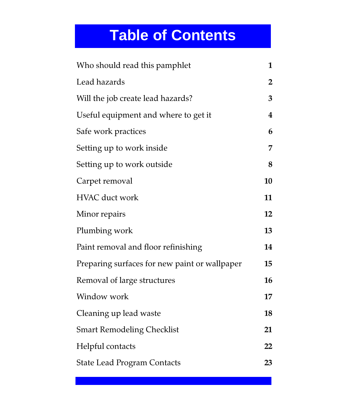## **Table of Contents**

| Who should read this pamphlet                 |                |
|-----------------------------------------------|----------------|
| Lead hazards                                  | $\overline{2}$ |
| Will the job create lead hazards?             | 3              |
| Useful equipment and where to get it          | 4              |
| Safe work practices                           | 6              |
| Setting up to work inside                     | 7              |
| Setting up to work outside                    | 8              |
| Carpet removal                                | 10             |
| <b>HVAC</b> duct work                         | 11             |
| Minor repairs                                 | 12             |
| Plumbing work                                 | 13             |
| Paint removal and floor refinishing           | 14             |
| Preparing surfaces for new paint or wallpaper |                |
| Removal of large structures                   | 16             |
| Window work                                   | 17             |
| Cleaning up lead waste                        | 18             |
| <b>Smart Remodeling Checklist</b>             | 21             |
| Helpful contacts                              | 22             |
| <b>State Lead Program Contacts</b>            |                |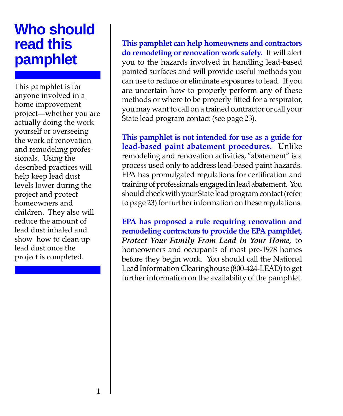## **Who should read this pamphlet**

This pamphlet is for anyone involved in a home improvement project-whether you are actually doing the work yourself or overseeing the work of renovation and remodeling professionals. Using the described practices will help keep lead dust levels lower during the project and protect homeowners and children. They also will reduce the amount of lead dust inhaled and show how to clean up lead dust once the project is completed.

This pamphlet can help homeowners and contractors do remodeling or renovation work safely. It will alert you to the hazards involved in handling lead-based painted surfaces and will provide useful methods you can use to reduce or eliminate exposures to lead. If you are uncertain how to properly perform any of these methods or where to be properly fitted for a respirator, you may want to call on a trained contractor or call your State lead program contact (see page 23).

This pamphlet is not intended for use as a guide for lead-based paint abatement procedures. Unlike remodeling and renovation activities, "abatement" is a process used only to address lead-based paint hazards. EPA has promulgated regulations for certification and training of professionals engaged in lead abatement. You should check with your State lead program contact (refer to page 23) for further information on these regulations.

EPA has proposed a rule requiring renovation and remodeling contractors to provide the EPA pamphlet, Protect Your Family From Lead in Your Home, to homeowners and occupants of most pre-1978 homes before they begin work. You should call the National Lead Information Clearinghouse (800-424-LEAD) to get further information on the availability of the pamphlet.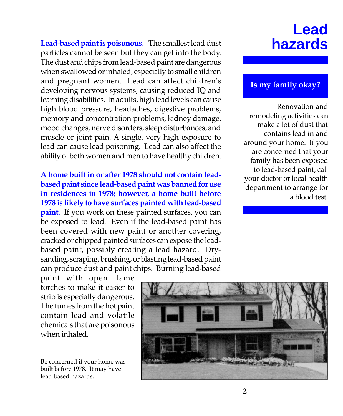Lead-based paint is poisonous. The smallest lead dust particles cannot be seen but they can get into the body. The dust and chips from lead-based paint are dangerous when swallowed or inhaled, especially to small children and pregnant women. Lead can affect children's developing nervous systems, causing reduced IQ and learning disabilities. In adults, high lead levels can cause high blood pressure, headaches, digestive problems, memory and concentration problems, kidney damage, mood changes, nerve disorders, sleep disturbances, and muscle or joint pain. A single, very high exposure to lead can cause lead poisoning. Lead can also affect the ability of both women and men to have healthy children.

A home built in or after 1978 should not contain leadbased paint since lead-based paint was banned for use in residences in 1978; however, a home built before 1978 is likely to have surfaces painted with lead-based **paint.** If you work on these painted surfaces, you can be exposed to lead. Even if the lead-based paint has been covered with new paint or another covering, cracked or chipped painted surfaces can expose the leadbased paint, possibly creating a lead hazard. Drysanding, scraping, brushing, or blasting lead-based paint can produce dust and paint chips. Burning lead-based

#### **Lead hazards**

#### Is my family okay?

Renovation and remodeling activities can make a lot of dust that contains lead in and around your home. If you are concerned that your family has been exposed to lead-based paint, call your doctor or local health department to arrange for a blood test.

paint with open flame torches to make it easier to strip is especially dangerous. The fumes from the hot paint contain lead and volatile chemicals that are poisonous when inhaled.

Be concerned if your home was built before 1978. It may have lead-based hazards.

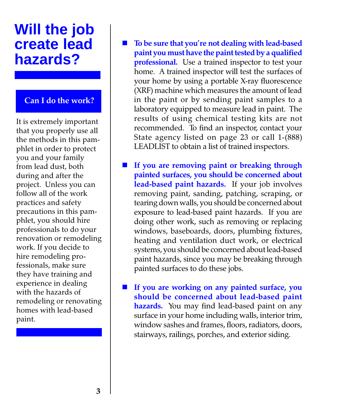#### **Will the job create lead hazards?**

#### Can I do the work?

It is extremely important that you properly use all the methods in this pamphlet in order to protect you and your family from lead dust, both during and after the project. Unless you can follow all of the work practices and safety precautions in this pamphlet, you should hire professionals to do your renovation or remodeling work. If you decide to hire remodeling professionals, make sure they have training and experience in dealing with the hazards of remodeling or renovating homes with lead-based paint.

- To be sure that you're not dealing with lead-based paint you must have the paint tested by a qualified professional. Use a trained inspector to test your home. A trained inspector will test the surfaces of your home by using a portable X-ray fluorescence (XRF) machine which measures the amount of lead in the paint or by sending paint samples to a laboratory equipped to measure lead in paint. The results of using chemical testing kits are not recommended. To find an inspector, contact your State agency listed on page 23 or call 1-(888) LEADLIST to obtain a list of trained inspectors.
- If you are removing paint or breaking through painted surfaces, you should be concerned about lead-based paint hazards. If your job involves removing paint, sanding, patching, scraping, or tearing down walls, you should be concerned about exposure to lead-based paint hazards. If you are doing other work, such as removing or replacing windows, baseboards, doors, plumbing fixtures, heating and ventilation duct work, or electrical systems, you should be concerned about lead-based paint hazards, since you may be breaking through painted surfaces to do these jobs.
- If you are working on any painted surface, you should be concerned about lead-based paint hazards. You may find lead-based paint on any surface in your home including walls, interior trim, window sashes and frames, floors, radiators, doors, stairways, railings, porches, and exterior siding.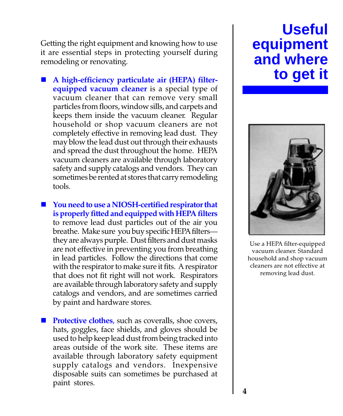Getting the right equipment and knowing how to use it are essential steps in protecting yourself during remodeling or renovating.

- n A high-efficiency particulate air (HEPA) filterequipped vacuum cleaner is a special type of vacuum cleaner that can remove very small particles from floors, window sills, and carpets and keeps them inside the vacuum cleaner. Regular household or shop vacuum cleaners are not completely effective in removing lead dust. They may blow the lead dust out through their exhausts and spread the dust throughout the home. HEPA vacuum cleaners are available through laboratory safety and supply catalogs and vendors. They can sometimes be rented at stores that carry remodeling tools.
- You need to use a NIOSH-certified respirator that is properly fitted and equipped with HEPA filters to remove lead dust particles out of the air you breathe. Make sure you buy specific HEPA filters they are always purple. Dust filters and dust masks are not effective in preventing you from breathing in lead particles. Follow the directions that come with the respirator to make sure it fits. A respirator that does not fit right will not work. Respirators are available through laboratory safety and supply catalogs and vendors, and are sometimes carried by paint and hardware stores.
- **Protective clothes**, such as coveralls, shoe covers, hats, goggles, face shields, and gloves should be used to help keep lead dust from being tracked into areas outside of the work site. These items are available through laboratory safety equipment supply catalogs and vendors. Inexpensive disposable suits can sometimes be purchased at paint stores.

## **Useful equipment and where to get it**



Use a HEPA filter-equipped vacuum cleaner. Standard household and shop vacuum cleaners are not effective at removing lead dust.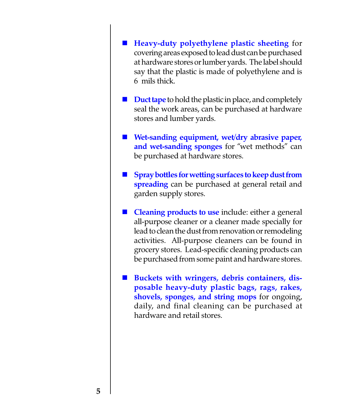- n Heavy-duty polyethylene plastic sheeting for covering areas exposed to lead dust can be purchased at hardware stores or lumber yards. The label should say that the plastic is made of polyethylene and is 6 mils thick.
- **Duct tape** to hold the plastic in place, and completely seal the work areas, can be purchased at hardware stores and lumber yards.
- $\blacksquare$  Wet-sanding equipment, wet/dry abrasive paper, and wet-sanding sponges for "wet methods" can be purchased at hardware stores.
- Spray bottles for wetting surfaces to keep dust from spreading can be purchased at general retail and garden supply stores.
- $\blacksquare$  Cleaning products to use include: either a general all-purpose cleaner or a cleaner made specially for lead to clean the dust from renovation or remodeling activities. All-purpose cleaners can be found in grocery stores. Lead-specific cleaning products can be purchased from some paint and hardware stores.
- Buckets with wringers, debris containers, disposable heavy-duty plastic bags, rags, rakes, shovels, sponges, and string mops for ongoing, daily, and final cleaning can be purchased at hardware and retail stores.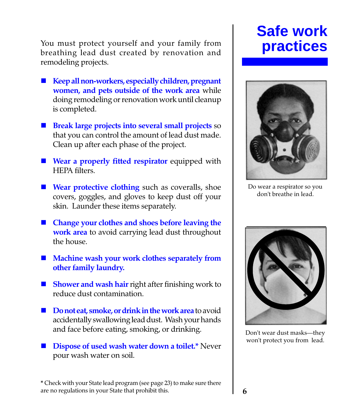You must protect yourself and your family from breathing lead dust created by renovation and remodeling projects.

- $\blacksquare$  Keep all non-workers, especially children, pregnant women, and pets outside of the work area while doing remodeling or renovation work until cleanup is completed.
- **n** Break large projects into several small projects so that you can control the amount of lead dust made. Clean up after each phase of the project.
- $\blacksquare$  Wear a properly fitted respirator equipped with HEPA filters.
- $\blacksquare$  Wear protective clothing such as coveralls, shoe covers, goggles, and gloves to keep dust off your skin. Launder these items separately.
- Change your clothes and shoes before leaving the work area to avoid carrying lead dust throughout the house.
- $\blacksquare$  Machine wash your work clothes separately from other family laundry.
- $\blacksquare$  Shower and wash hair right after finishing work to reduce dust contamination.
- $\blacksquare$  Do not eat, smoke, or drink in the work area to avoid accidentally swallowing lead dust. Wash your hands and face before eating, smoking, or drinking.
- Dispose of used wash water down a toilet.\* Never pour wash water on soil.

\* Check with your State lead program (see page 23) to make sure there are no regulations in your State that prohibit this.

## **Safe work practices**



Do wear a respirator so you don't breathe in lead.



Don't wear dust masks-they won't protect you from lead.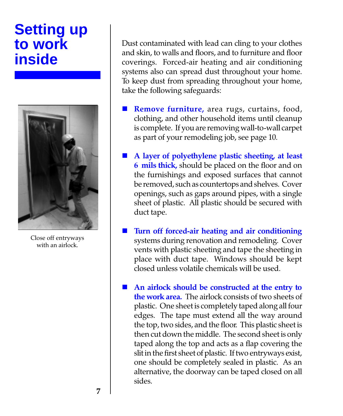## **Setting up to work inside**



Close off entryways with an airlock.

Dust contaminated with lead can cling to your clothes and skin, to walls and floors, and to furniture and floor coverings. Forced-air heating and air conditioning systems also can spread dust throughout your home. To keep dust from spreading throughout your home, take the following safeguards:

- Remove furniture, area rugs, curtains, food, clothing, and other household items until cleanup is complete. If you are removing wall-to-wall carpet as part of your remodeling job, see page 10.
- A layer of polyethylene plastic sheeting, at least 6 mils thick, should be placed on the floor and on the furnishings and exposed surfaces that cannot be removed, such as countertops and shelves. Cover openings, such as gaps around pipes, with a single sheet of plastic. All plastic should be secured with duct tape.
- Turn off forced-air heating and air conditioning systems during renovation and remodeling. Cover vents with plastic sheeting and tape the sheeting in place with duct tape. Windows should be kept closed unless volatile chemicals will be used.
- n An airlock should be constructed at the entry to the work area. The airlock consists of two sheets of plastic. One sheet is completely taped along all four edges. The tape must extend all the way around the top, two sides, and the floor. This plastic sheet is then cut down the middle. The second sheet is only taped along the top and acts as a flap covering the slit in the first sheet of plastic. If two entryways exist, one should be completely sealed in plastic. As an alternative, the doorway can be taped closed on all sides.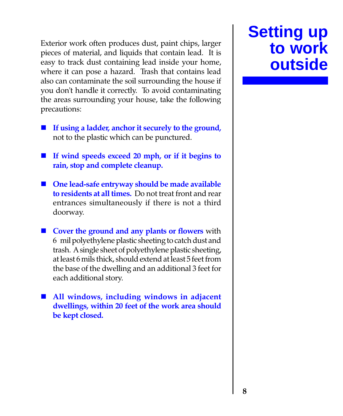Exterior work often produces dust, paint chips, larger pieces of material, and liquids that contain lead. It is easy to track dust containing lead inside your home, where it can pose a hazard. Trash that contains lead also can contaminate the soil surrounding the house if you don't handle it correctly. To avoid contaminating the areas surrounding your house, take the following precautions:

- $\blacksquare$  If using a ladder, anchor it securely to the ground, not to the plastic which can be punctured.
- $\blacksquare$  If wind speeds exceed 20 mph, or if it begins to rain, stop and complete cleanup.
- $\blacksquare$  One lead-safe entryway should be made available to residents at all times. Do not treat front and rear entrances simultaneously if there is not a third doorway.
- $\blacksquare$  Cover the ground and any plants or flowers with 6 mil polyethylene plastic sheeting to catch dust and trash. A single sheet of polyethylene plastic sheeting, at least 6 mils thick, should extend at least 5 feet from the base of the dwelling and an additional 3 feet for each additional story.
- $\blacksquare$  All windows, including windows in adjacent dwellings, within 20 feet of the work area should be kept closed.

## **Setting up to work outside**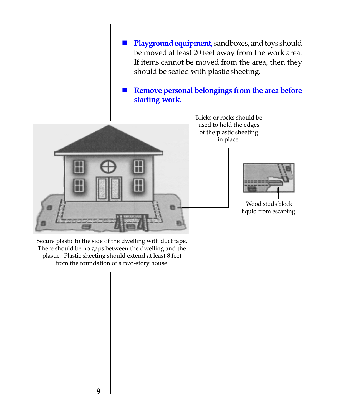**n** Playground equipment, sandboxes, and toys should be moved at least 20 feet away from the work area. If items cannot be moved from the area, then they should be sealed with plastic sheeting.

Remove personal belongings from the area before starting work.



Bricks or rocks should be used to hold the edges of the plastic sheeting in place.



Wood studs block liquid from escaping.

Secure plastic to the side of the dwelling with duct tape. There should be no gaps between the dwelling and the plastic. Plastic sheeting should extend at least 8 feet from the foundation of a two-story house.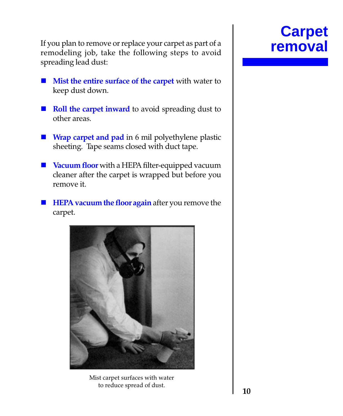If you plan to remove or replace your carpet as part of a **removal** remodeling job, take the following steps to avoid spreading lead dust:

- **n** Mist the entire surface of the carpet with water to keep dust down.
- Roll the carpet inward to avoid spreading dust to other areas.
- **Nixty Charles Nixty Charles Nixty Charles Nixty Charles Nixty Charles Nixty Charles Nixty Charles Nixty Charles Nixty Charles Nixty Charles Nixty Charles Nixty Charles Nixty Charles Nixty Charle** sheeting. Tape seams closed with duct tape.
- **No Vacuum floor** with a HEPA filter-equipped vacuum cleaner after the carpet is wrapped but before you remove it.
- $\blacksquare$  HEPA vacuum the floor again after you remove the carpet.



Mist carpet surfaces with water to reduce spread of dust.

## **Carpet**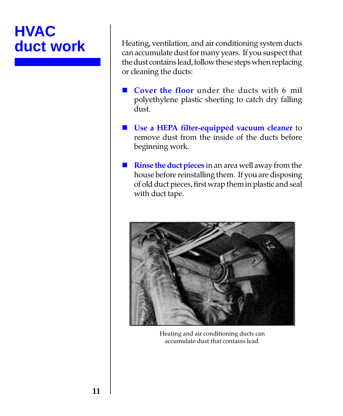# **HVAC**

Heating, ventilation, and air conditioning system ducts can accumulate dust for many years. If you suspect that the dust contains lead, follow these steps when replacing or cleaning the ducts:

- **Cover the floor under the ducts with 6 mil** polyethylene plastic sheeting to catch dry falling dust.
- Use a HEPA filter-equipped vacuum cleaner to remove dust from the inside of the ducts before beginning work.
- $\blacksquare$  Rinse the duct pieces in an area well away from the house before reinstalling them. If you are disposing of old duct pieces, first wrap them in plastic and seal with duct tape.



Heating and air conditioning ducts can accumulate dust that contains lead.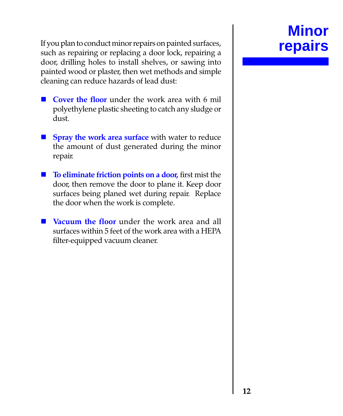If you plan to conduct minor repairs on painted surfaces, such as repairing or replacing a door lock, repairing a door, drilling holes to install shelves, or sawing into painted wood or plaster, then wet methods and simple cleaning can reduce hazards of lead dust:

- **Cover the floor under the work area with 6 mil** polyethylene plastic sheeting to catch any sludge or dust.
- **n Spray the work area surface** with water to reduce the amount of dust generated during the minor repair.
- $\blacksquare$  To eliminate friction points on a door, first mist the door, then remove the door to plane it. Keep door surfaces being planed wet during repair. Replace the door when the work is complete.
- **Nacuum the floor** under the work area and all surfaces within 5 feet of the work area with a HEPA filter-equipped vacuum cleaner.

## **Minor**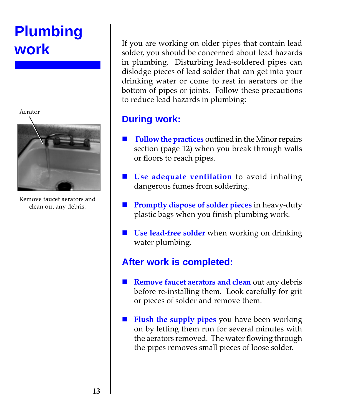## **Plumbing work**

Aerator



Remove faucet aerators and clean out any debris.

If you are working on older pipes that contain lead solder, you should be concerned about lead hazards in plumbing. Disturbing lead-soldered pipes can dislodge pieces of lead solder that can get into your drinking water or come to rest in aerators or the bottom of pipes or joints. Follow these precautions to reduce lead hazards in plumbing:

#### **During work:**

- Follow the practices outlined in the Minor repairs section (page 12) when you break through walls or floors to reach pipes.
- $\blacksquare$  Use adequate ventilation to avoid inhaling dangerous fumes from soldering.
- **Promptly dispose of solder pieces in heavy-duty** plastic bags when you finish plumbing work.
- $\blacksquare$  Use lead-free solder when working on drinking water plumbing.

#### **After work is completed:**

- $\blacksquare$  Remove faucet aerators and clean out any debris before re-installing them. Look carefully for grit or pieces of solder and remove them.
- Flush the supply pipes you have been working on by letting them run for several minutes with the aerators removed. The water flowing through the pipes removes small pieces of loose solder.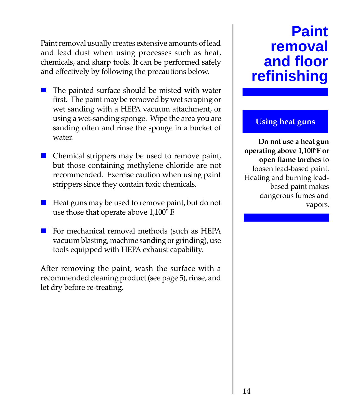Paint removal usually creates extensive amounts of lead and lead dust when using processes such as heat, chemicals, and sharp tools. It can be performed safely and effectively by following the precautions below.

- The painted surface should be misted with water first. The paint may be removed by wet scraping or wet sanding with a HEPA vacuum attachment, or using a wet-sanding sponge. Wipe the area you are sanding often and rinse the sponge in a bucket of water.
- $\blacksquare$  Chemical strippers may be used to remove paint, but those containing methylene chloride are not recommended. Exercise caution when using paint strippers since they contain toxic chemicals.
- Heat guns may be used to remove paint, but do not use those that operate above 1,100° F.
- $\blacksquare$  For mechanical removal methods (such as HEPA vacuum blasting, machine sanding or grinding), use tools equipped with HEPA exhaust capability.

After removing the paint, wash the surface with a recommended cleaning product (see page 5), rinse, and let dry before re-treating.

## **Paint removal and floor refinishing**

#### Using heat guns

Do not use a heat gun operating above 1,100°F or open flame torches to loosen lead-based paint. Heating and burning leadbased paint makes dangerous fumes and vapors.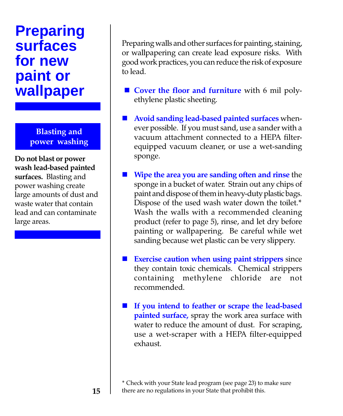## **Preparing surfaces for new paint or wallpaper**

Blasting and power washing

Do not blast or power wash lead-based painted surfaces. Blasting and power washing create large amounts of dust and waste water that contain lead and can contaminate large areas.

Preparing walls and other surfaces for painting, staining, or wallpapering can create lead exposure risks. With good work practices, you can reduce the risk of exposure to lead.

- $\blacksquare$  Cover the floor and furniture with 6 mil polyethylene plastic sheeting.
- $\blacksquare$  Avoid sanding lead-based painted surfaces whenever possible. If you must sand, use a sander with a vacuum attachment connected to a HEPA filterequipped vacuum cleaner, or use a wet-sanding sponge.
- $\blacksquare$  Wipe the area you are sanding often and rinse the sponge in a bucket of water. Strain out any chips of paint and dispose of them in heavy-duty plastic bags. Dispose of the used wash water down the toilet.\* Wash the walls with a recommended cleaning product (refer to page 5), rinse, and let dry before painting or wallpapering. Be careful while wet sanding because wet plastic can be very slippery.
- Exercise caution when using paint strippers since they contain toxic chemicals. Chemical strippers containing methylene chloride are not recommended.
	- If you intend to feather or scrape the lead-based painted surface, spray the work area surface with water to reduce the amount of dust. For scraping, use a wet-scraper with a HEPA filter-equipped exhaust.

\* Check with your State lead program (see page 23) to make sure there are no regulations in your State that prohibit this.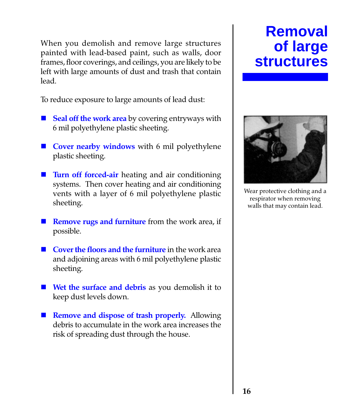When you demolish and remove large structures painted with lead-based paint, such as walls, door frames, floor coverings, and ceilings, you are likely to be left with large amounts of dust and trash that contain lead.

To reduce exposure to large amounts of lead dust:

- $\blacksquare$  Seal off the work area by covering entryways with 6 mil polyethylene plastic sheeting.
- Cover nearby windows with 6 mil polyethylene plastic sheeting.
- Turn off forced-air heating and air conditioning systems. Then cover heating and air conditioning vents with a layer of 6 mil polyethylene plastic sheeting.
- $\blacksquare$  **Remove rugs and furniture** from the work area, if possible.
- $\blacksquare$  Cover the floors and the furniture in the work area and adjoining areas with 6 mil polyethylene plastic sheeting.
- $\blacksquare$  Wet the surface and debris as you demolish it to keep dust levels down.
- **n** Remove and dispose of trash properly. Allowing debris to accumulate in the work area increases the risk of spreading dust through the house.

## **Removal of large structures**



Wear protective clothing and a respirator when removing walls that may contain lead.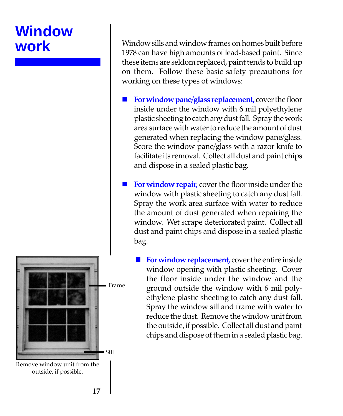## **Window work**



Remove window unit from the outside, if possible.

Window sills and window frames on homes built before 1978 can have high amounts of lead-based paint. Since these items are seldom replaced, paint tends to build up on them. Follow these basic safety precautions for working on these types of windows:

- For window pane/glass replacement, cover the floor inside under the window with 6 mil polyethylene plastic sheeting to catch any dust fall. Spray the work area surface with water to reduce the amount of dust generated when replacing the window pane/glass. Score the window pane/glass with a razor knife to facilitate its removal. Collect all dust and paint chips and dispose in a sealed plastic bag.
- For window repair, cover the floor inside under the window with plastic sheeting to catch any dust fall. Spray the work area surface with water to reduce the amount of dust generated when repairing the window. Wet scrape deteriorated paint. Collect all dust and paint chips and dispose in a sealed plastic bag.
	- For window replacement, cover the entire inside window opening with plastic sheeting. Cover the floor inside under the window and the ground outside the window with 6 mil polyethylene plastic sheeting to catch any dust fall. Spray the window sill and frame with water to reduce the dust. Remove the window unit from the outside, if possible. Collect all dust and paint chips and dispose of them in a sealed plastic bag.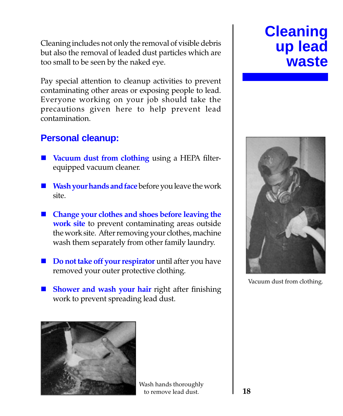Cleaning includes not only the removal of visible debris but also the removal of leaded dust particles which are too small to be seen by the naked eye.

Pay special attention to cleanup activities to prevent contaminating other areas or exposing people to lead. Everyone working on your job should take the precautions given here to help prevent lead contamination.

#### **Personal cleanup:**

- Vacuum dust from clothing using a HEPA filterequipped vacuum cleaner.
- $\blacksquare$  Wash your hands and face before you leave the work site.
- $\blacksquare$  Change your clothes and shoes before leaving the work site to prevent contaminating areas outside the work site. After removing your clothes, machine wash them separately from other family laundry.
- Do not take off your respirator until after you have removed your outer protective clothing.
- Shower and wash your hair right after finishing work to prevent spreading lead dust.



Wash hands thoroughly to remove lead dust.

## **Cleaning up lead waste**



Vacuum dust from clothing.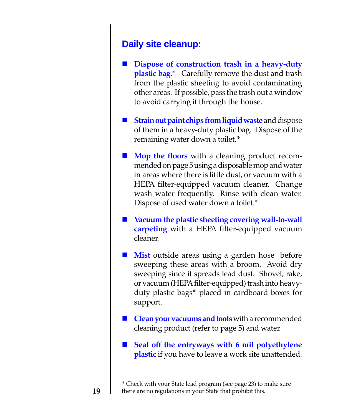#### **Daily site cleanup:**

- Dispose of construction trash in a heavy-duty plastic bag.\* Carefully remove the dust and trash from the plastic sheeting to avoid contaminating other areas. If possible, pass the trash out a window to avoid carrying it through the house.
- Strain out paint chips from liquid waste and dispose of them in a heavy-duty plastic bag. Dispose of the remaining water down a toilet.\*
- **n** Mop the floors with a cleaning product recommended on page 5 using a disposable mop and water in areas where there is little dust, or vacuum with a HEPA filter-equipped vacuum cleaner. Change wash water frequently. Rinse with clean water. Dispose of used water down a toilet.\*
- $\blacksquare$  Vacuum the plastic sheeting covering wall-to-wall **carpeting** with a HEPA filter-equipped vacuum cleaner.
- **Mist** outside areas using a garden hose before sweeping these areas with a broom. Avoid dry sweeping since it spreads lead dust. Shovel, rake, or vacuum (HEPA filter-equipped) trash into heavyduty plastic bags\* placed in cardboard boxes for support.
- **Clean your vacuums and tools** with a recommended cleaning product (refer to page 5) and water.
- $\blacksquare$  Seal off the entryways with 6 mil polyethylene plastic if you have to leave a work site unattended.

<sup>\*</sup> Check with your State lead program (see page 23) to make sure there are no regulations in your State that prohibit this.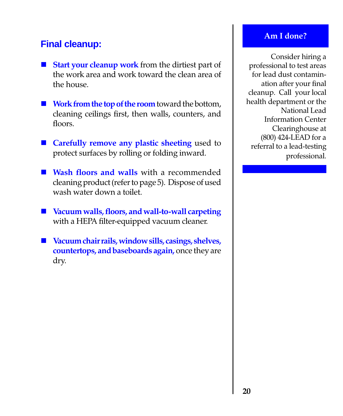#### **Final cleanup:**

- $\blacksquare$  Start your cleanup work from the dirtiest part of the work area and work toward the clean area of the house.
- $\blacksquare$  Work from the top of the room toward the bottom, cleaning ceilings first, then walls, counters, and floors.
- Carefully remove any plastic sheeting used to protect surfaces by rolling or folding inward.
- Wash floors and walls with a recommended cleaning product (refer to page 5). Dispose of used wash water down a toilet.
- Vacuum walls, floors, and wall-to-wall carpeting with a HEPA filter-equipped vacuum cleaner.
- $\blacksquare$  Vacuum chair rails, window sills, casings, shelves, countertops, and baseboards again, once they are dry.

#### Am I done?

Consider hiring a professional to test areas for lead dust contamination after your final cleanup. Call your local health department or the National Lead Information Center Clearinghouse at (800) 424-LEAD for a referral to a lead-testing professional.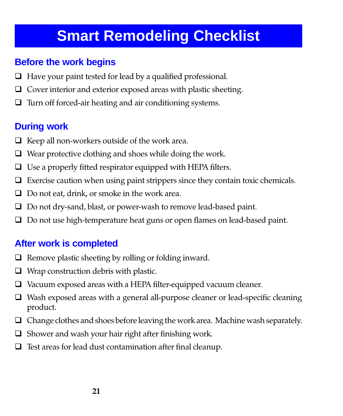## **Smart Remodeling Checklist**

#### **Before the work begins**

- $\Box$  Have your paint tested for lead by a qualified professional.
- $\Box$  Cover interior and exterior exposed areas with plastic sheeting.
- $\Box$  Turn off forced-air heating and air conditioning systems.

#### **During work**

- $\Box$  Keep all non-workers outside of the work area.
- $\Box$  Wear protective clothing and shoes while doing the work.
- $\Box$  Use a properly fitted respirator equipped with HEPA filters.
- $\Box$  Exercise caution when using paint strippers since they contain toxic chemicals.
- $\Box$  Do not eat, drink, or smoke in the work area.
- $\Box$  Do not dry-sand, blast, or power-wash to remove lead-based paint.
- $\Box$  Do not use high-temperature heat guns or open flames on lead-based paint.

#### **After work is completed**

- $\Box$  Remove plastic sheeting by rolling or folding inward.
- $\Box$  Wrap construction debris with plastic.
- $\Box$  Vacuum exposed areas with a HEPA filter-equipped vacuum cleaner.
- $\Box$  Wash exposed areas with a general all-purpose cleaner or lead-specific cleaning product.
- $\Box$  Change clothes and shoes before leaving the work area. Machine wash separately.
- $\Box$  Shower and wash your hair right after finishing work.
- $\Box$  Test areas for lead dust contamination after final cleanup.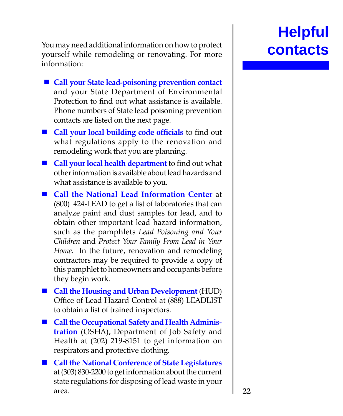You may need additional information on how to protect yourself while remodeling or renovating. For more information:

- Call your State lead-poisoning prevention contact and your State Department of Environmental Protection to find out what assistance is available. Phone numbers of State lead poisoning prevention contacts are listed on the next page.
- Call your local building code officials to find out what regulations apply to the renovation and remodeling work that you are planning.
- $\blacksquare$  Call your local health department to find out what other information is available about lead hazards and what assistance is available to you.
- Call the National Lead Information Center at (800) 424-LEAD to get a list of laboratories that can analyze paint and dust samples for lead, and to obtain other important lead hazard information, such as the pamphlets Lead Poisoning and Your Children and Protect Your Family From Lead in Your Home. In the future, renovation and remodeling contractors may be required to provide a copy of this pamphlet to homeowners and occupants before they begin work.
- Call the Housing and Urban Development (HUD) Office of Lead Hazard Control at (888) LEADLIST to obtain a list of trained inspectors.
- **n** Call the Occupational Safety and Health Administration (OSHA), Department of Job Safety and Health at (202) 219-8151 to get information on respirators and protective clothing.
- Call the National Conference of State Legislatures at (303) 830-2200 to get information about the current state regulations for disposing of lead waste in your area.

# **Helpful**